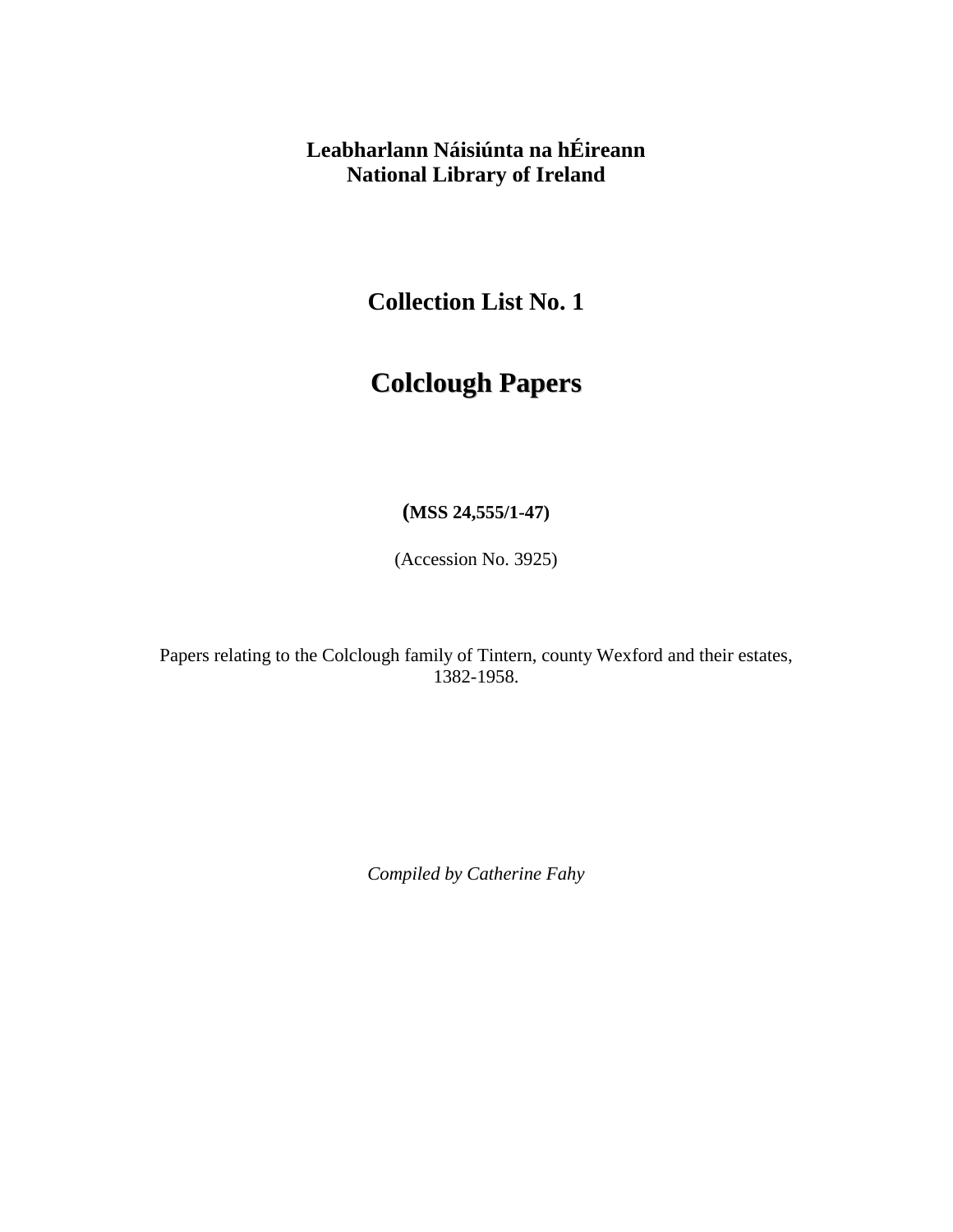## **Leabharlann Náisiúnta na hÉireann National Library of Ireland**

**Collection List No. 1** 

## **Colclough Papers**

**(MSS 24,555/1-47)** 

(Accession No. 3925)

Papers relating to the Colclough family of Tintern, county Wexford and their estates, 1382-1958.

*Compiled by Catherine Fahy*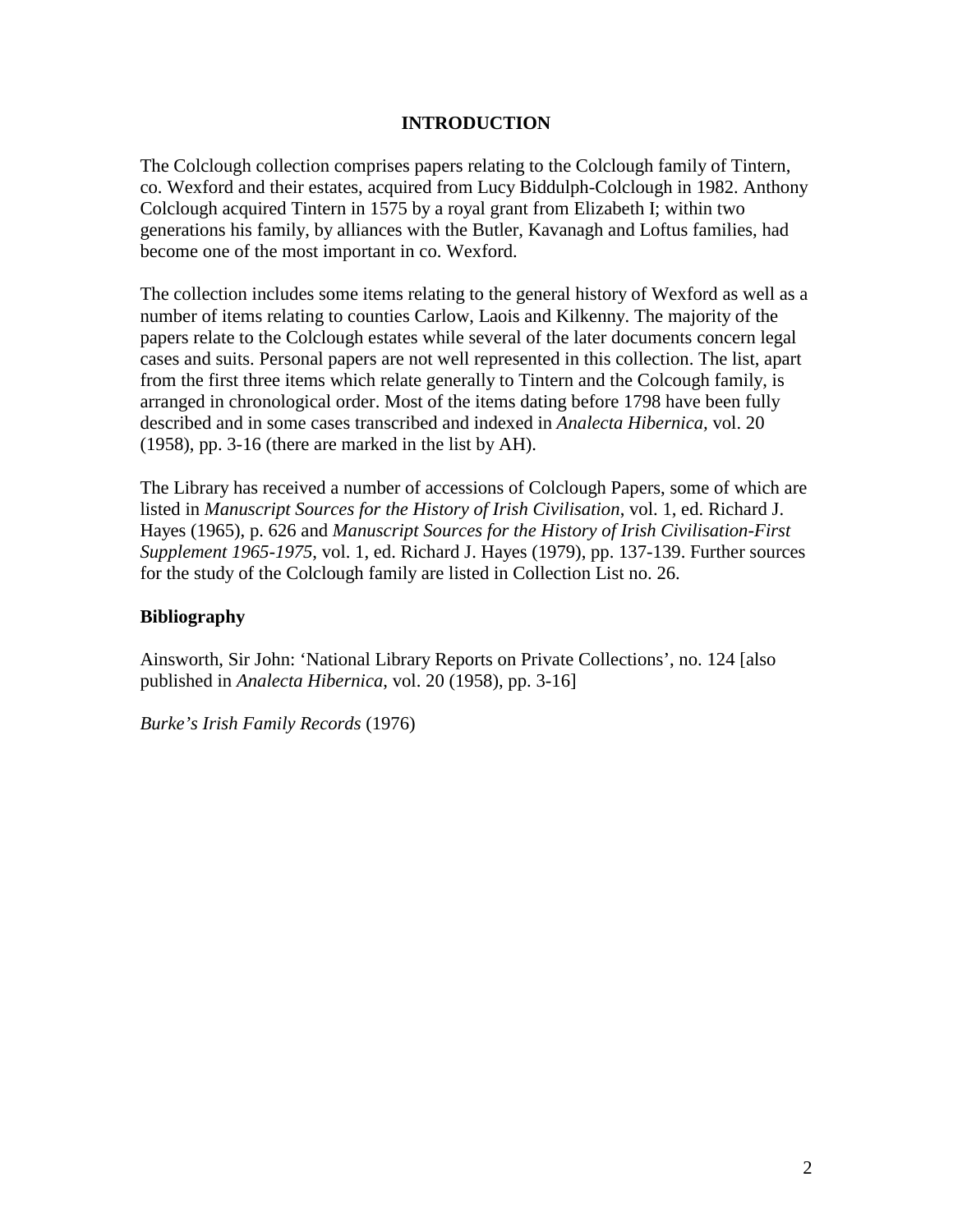## **INTRODUCTION**

The Colclough collection comprises papers relating to the Colclough family of Tintern, co. Wexford and their estates, acquired from Lucy Biddulph-Colclough in 1982. Anthony Colclough acquired Tintern in 1575 by a royal grant from Elizabeth I; within two generations his family, by alliances with the Butler, Kavanagh and Loftus families, had become one of the most important in co. Wexford.

The collection includes some items relating to the general history of Wexford as well as a number of items relating to counties Carlow, Laois and Kilkenny. The majority of the papers relate to the Colclough estates while several of the later documents concern legal cases and suits. Personal papers are not well represented in this collection. The list, apart from the first three items which relate generally to Tintern and the Colcough family, is arranged in chronological order. Most of the items dating before 1798 have been fully described and in some cases transcribed and indexed in *Analecta Hibernica,* vol. 20 (1958), pp. 3-16 (there are marked in the list by AH).

The Library has received a number of accessions of Colclough Papers, some of which are listed in *Manuscript Sources for the History of Irish Civilisation*, vol. 1, ed. Richard J. Hayes (1965), p. 626 and *Manuscript Sources for the History of Irish Civilisation-First Supplement 1965-1975*, vol. 1, ed. Richard J. Hayes (1979), pp. 137-139. Further sources for the study of the Colclough family are listed in Collection List no. 26.

## **Bibliography**

Ainsworth, Sir John: 'National Library Reports on Private Collections', no. 124 [also published in *Analecta Hibernica*, vol. 20 (1958), pp. 3-16]

*Burke's Irish Family Records* (1976)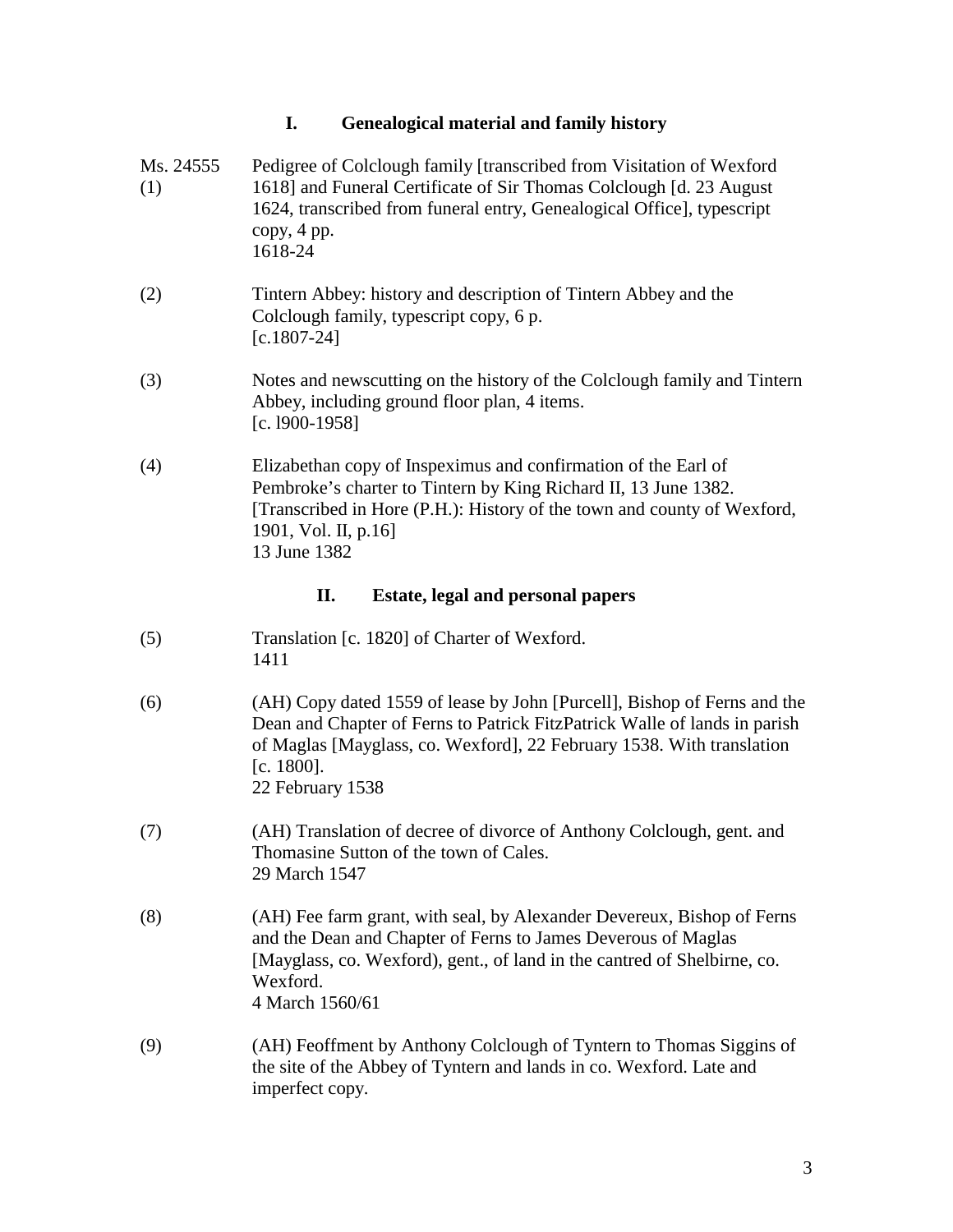|                  | I.<br><b>Genealogical material and family history</b>                                                                                                                                                                                                            |
|------------------|------------------------------------------------------------------------------------------------------------------------------------------------------------------------------------------------------------------------------------------------------------------|
| Ms. 24555<br>(1) | Pedigree of Colclough family [transcribed from Visitation of Wexford<br>1618] and Funeral Certificate of Sir Thomas Colclough [d. 23 August]<br>1624, transcribed from funeral entry, Genealogical Office], typescript<br>copy, 4 pp.<br>1618-24                 |
| (2)              | Tintern Abbey: history and description of Tintern Abbey and the<br>Colclough family, typescript copy, 6 p.<br>$[c.1807-24]$                                                                                                                                      |
| (3)              | Notes and newscutting on the history of the Colclough family and Tintern<br>Abbey, including ground floor plan, 4 items.<br>[c. 1900-1958]                                                                                                                       |
| (4)              | Elizabethan copy of Inspeximus and confirmation of the Earl of<br>Pembroke's charter to Tintern by King Richard II, 13 June 1382.<br>[Transcribed in Hore (P.H.): History of the town and county of Wexford,<br>1901, Vol. II, p.16]<br>13 June 1382             |
|                  | П.<br><b>Estate, legal and personal papers</b>                                                                                                                                                                                                                   |
| (5)              | Translation [c. 1820] of Charter of Wexford.<br>1411                                                                                                                                                                                                             |
| (6)              | (AH) Copy dated 1559 of lease by John [Purcell], Bishop of Ferns and the<br>Dean and Chapter of Ferns to Patrick FitzPatrick Walle of lands in parish<br>of Maglas [Mayglass, co. Wexford], 22 February 1538. With translation<br>[c. 1800].<br>22 February 1538 |
| (7)              | (AH) Translation of decree of divorce of Anthony Colclough, gent. and<br>Thomasine Sutton of the town of Cales.<br>29 March 1547                                                                                                                                 |
| (8)              | (AH) Fee farm grant, with seal, by Alexander Devereux, Bishop of Ferns<br>and the Dean and Chapter of Ferns to James Deverous of Maglas<br>[Mayglass, co. Wexford), gent., of land in the cantred of Shelbirne, co.<br>Wexford.<br>4 March 1560/61               |
| (9)              | (AH) Feoffment by Anthony Colclough of Tyntern to Thomas Siggins of<br>the site of the Abbey of Tyntern and lands in co. Wexford. Late and<br>imperfect copy.                                                                                                    |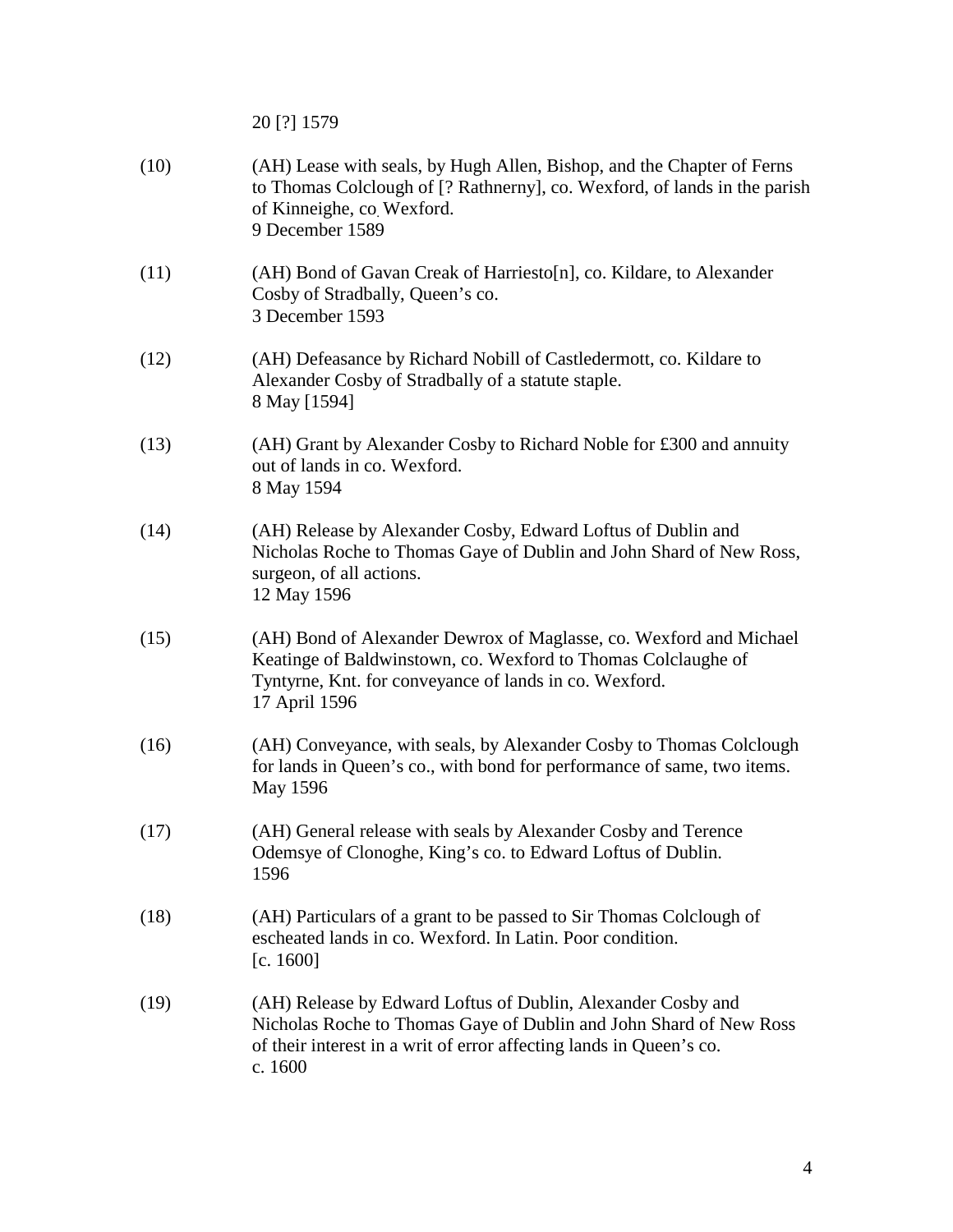20 [?] 1579

| (10) | (AH) Lease with seals, by Hugh Allen, Bishop, and the Chapter of Ferns<br>to Thomas Colclough of [? Rathnerny], co. Wexford, of lands in the parish<br>of Kinneighe, co Wexford.<br>9 December 1589                  |
|------|----------------------------------------------------------------------------------------------------------------------------------------------------------------------------------------------------------------------|
| (11) | (AH) Bond of Gavan Creak of Harriesto[n], co. Kildare, to Alexander<br>Cosby of Stradbally, Queen's co.<br>3 December 1593                                                                                           |
| (12) | (AH) Defeasance by Richard Nobill of Castledermott, co. Kildare to<br>Alexander Cosby of Stradbally of a statute staple.<br>8 May [1594]                                                                             |
| (13) | (AH) Grant by Alexander Cosby to Richard Noble for £300 and annuity<br>out of lands in co. Wexford.<br>8 May 1594                                                                                                    |
| (14) | (AH) Release by Alexander Cosby, Edward Loftus of Dublin and<br>Nicholas Roche to Thomas Gaye of Dublin and John Shard of New Ross,<br>surgeon, of all actions.<br>12 May 1596                                       |
| (15) | (AH) Bond of Alexander Dewrox of Maglasse, co. Wexford and Michael<br>Keatinge of Baldwinstown, co. Wexford to Thomas Colclaughe of<br>Tyntyrne, Knt. for conveyance of lands in co. Wexford.<br>17 April 1596       |
| (16) | (AH) Conveyance, with seals, by Alexander Cosby to Thomas Colclough<br>for lands in Queen's co., with bond for performance of same, two items.<br>May 1596                                                           |
| (17) | (AH) General release with seals by Alexander Cosby and Terence<br>Odemsye of Clonoghe, King's co. to Edward Loftus of Dublin.<br>1596                                                                                |
| (18) | (AH) Particulars of a grant to be passed to Sir Thomas Colclough of<br>escheated lands in co. Wexford. In Latin. Poor condition.<br>[c. 1600]                                                                        |
| (19) | (AH) Release by Edward Loftus of Dublin, Alexander Cosby and<br>Nicholas Roche to Thomas Gaye of Dublin and John Shard of New Ross<br>of their interest in a writ of error affecting lands in Queen's co.<br>c. 1600 |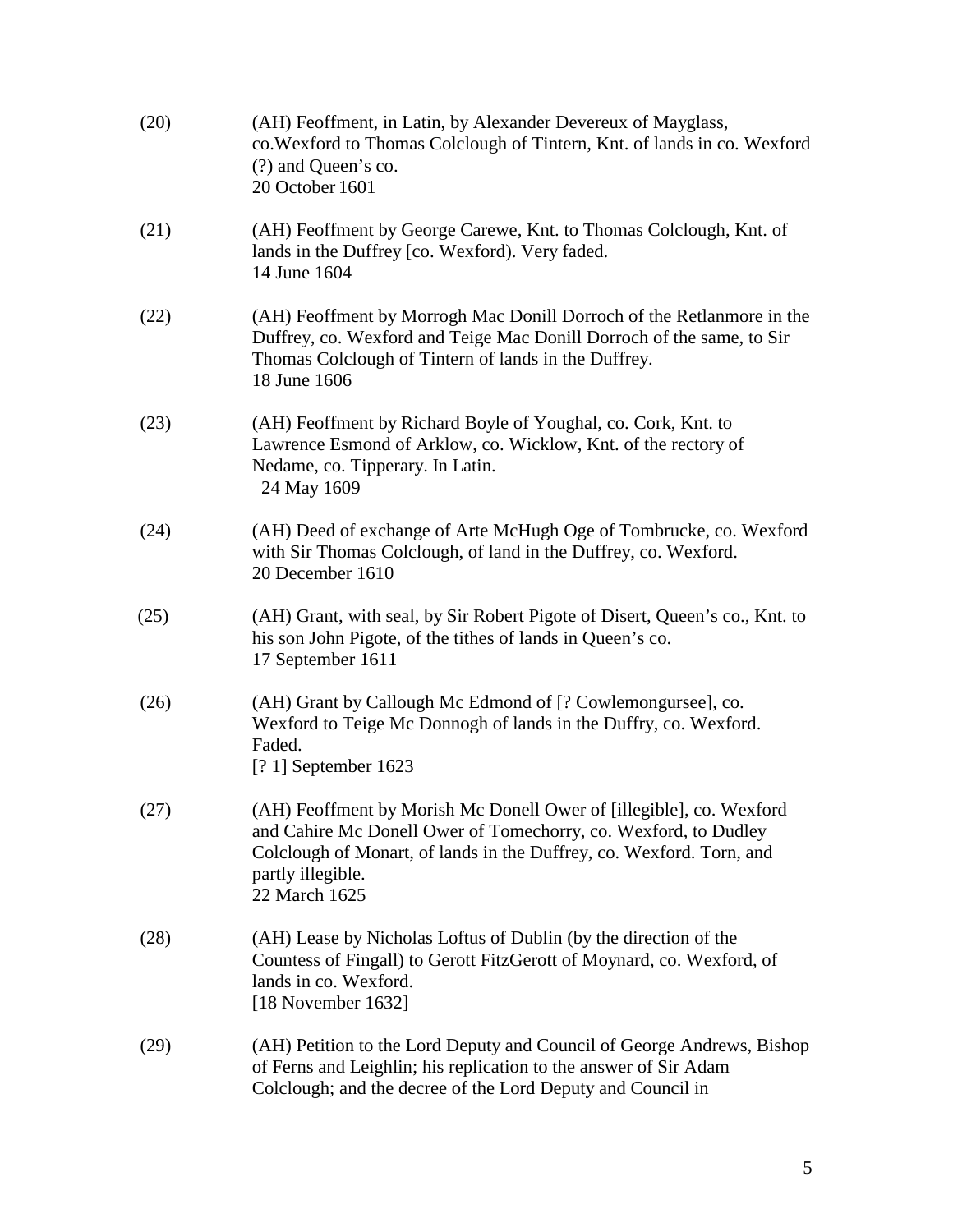| (20) | (AH) Feoffment, in Latin, by Alexander Devereux of Mayglass,<br>co. Wexford to Thomas Colclough of Tintern, Knt. of lands in co. Wexford<br>(?) and Queen's co.<br>20 October 1601                                                                   |
|------|------------------------------------------------------------------------------------------------------------------------------------------------------------------------------------------------------------------------------------------------------|
| (21) | (AH) Feoffment by George Carewe, Knt. to Thomas Colclough, Knt. of<br>lands in the Duffrey [co. Wexford). Very faded.<br>14 June 1604                                                                                                                |
| (22) | (AH) Feoffment by Morrogh Mac Donill Dorroch of the Retlanmore in the<br>Duffrey, co. Wexford and Teige Mac Donill Dorroch of the same, to Sir<br>Thomas Colclough of Tintern of lands in the Duffrey.<br>18 June 1606                               |
| (23) | (AH) Feoffment by Richard Boyle of Youghal, co. Cork, Knt. to<br>Lawrence Esmond of Arklow, co. Wicklow, Knt. of the rectory of<br>Nedame, co. Tipperary. In Latin.<br>24 May 1609                                                                   |
| (24) | (AH) Deed of exchange of Arte McHugh Oge of Tombrucke, co. Wexford<br>with Sir Thomas Colclough, of land in the Duffrey, co. Wexford.<br>20 December 1610                                                                                            |
| (25) | (AH) Grant, with seal, by Sir Robert Pigote of Disert, Queen's co., Knt. to<br>his son John Pigote, of the tithes of lands in Queen's co.<br>17 September 1611                                                                                       |
| (26) | (AH) Grant by Callough Mc Edmond of [? Cowlemongursee], co.<br>Wexford to Teige Mc Donnogh of lands in the Duffry, co. Wexford.<br>Faded.<br>$[? 1]$ September 1623                                                                                  |
| (27) | (AH) Feoffment by Morish Mc Donell Ower of [illegible], co. Wexford<br>and Cahire Mc Donell Ower of Tomechorry, co. Wexford, to Dudley<br>Colclough of Monart, of lands in the Duffrey, co. Wexford. Torn, and<br>partly illegible.<br>22 March 1625 |
| (28) | (AH) Lease by Nicholas Loftus of Dublin (by the direction of the<br>Countess of Fingall) to Gerott FitzGerott of Moynard, co. Wexford, of<br>lands in co. Wexford.<br>[18 November 1632]                                                             |
| (29) | (AH) Petition to the Lord Deputy and Council of George Andrews, Bishop<br>of Ferns and Leighlin; his replication to the answer of Sir Adam<br>Colclough; and the decree of the Lord Deputy and Council in                                            |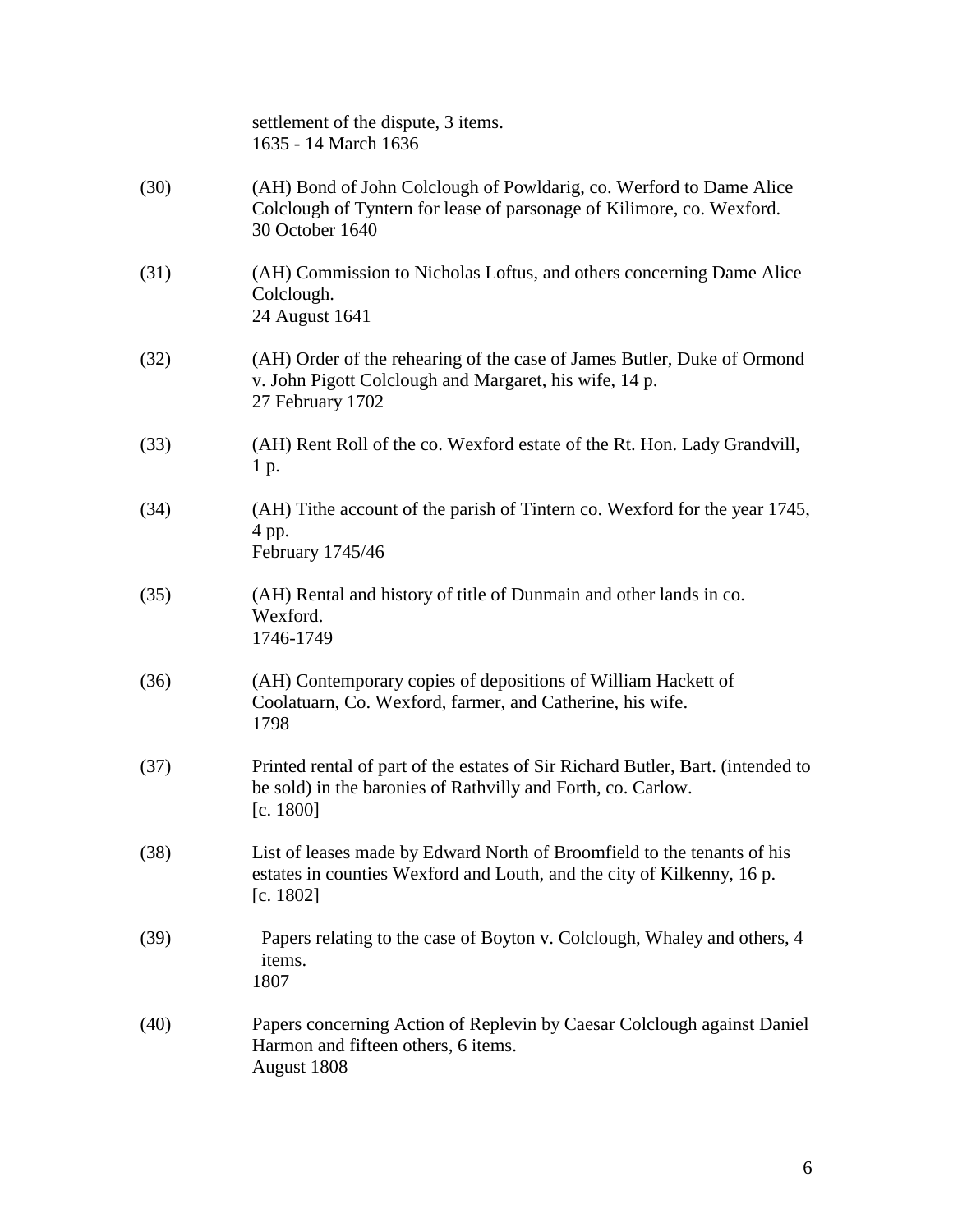|      | settlement of the dispute, 3 items.<br>1635 - 14 March 1636                                                                                                     |
|------|-----------------------------------------------------------------------------------------------------------------------------------------------------------------|
| (30) | (AH) Bond of John Colclough of Powldarig, co. Werford to Dame Alice<br>Colclough of Tyntern for lease of parsonage of Kilimore, co. Wexford.<br>30 October 1640 |
| (31) | (AH) Commission to Nicholas Loftus, and others concerning Dame Alice<br>Colclough.<br>24 August 1641                                                            |
| (32) | (AH) Order of the rehearing of the case of James Butler, Duke of Ormond<br>v. John Pigott Colclough and Margaret, his wife, 14 p.<br>27 February 1702           |
| (33) | (AH) Rent Roll of the co. Wexford estate of the Rt. Hon. Lady Grandvill,<br>1 p.                                                                                |
| (34) | (AH) Tithe account of the parish of Tintern co. Wexford for the year 1745,<br>4 pp.<br>February 1745/46                                                         |
| (35) | (AH) Rental and history of title of Dunmain and other lands in co.<br>Wexford.<br>1746-1749                                                                     |
| (36) | (AH) Contemporary copies of depositions of William Hackett of<br>Coolatuarn, Co. Wexford, farmer, and Catherine, his wife.<br>1798                              |
| (37) | Printed rental of part of the estates of Sir Richard Butler, Bart. (intended to<br>be sold) in the baronies of Rathvilly and Forth, co. Carlow.<br>[c. 1800]    |
| (38) | List of leases made by Edward North of Broomfield to the tenants of his<br>estates in counties Wexford and Louth, and the city of Kilkenny, 16 p.<br>[c. 1802]  |
| (39) | Papers relating to the case of Boyton v. Colclough, Whaley and others, 4<br>items.<br>1807                                                                      |
| (40) | Papers concerning Action of Replevin by Caesar Colclough against Daniel<br>Harmon and fifteen others, 6 items.<br>August 1808                                   |